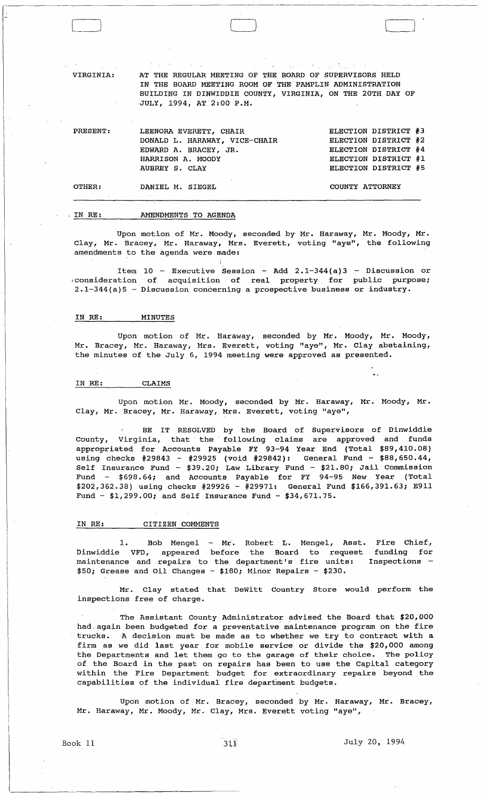VIRGINIA:

AT THE REGULAR MEETING OF THE BOARD OF SUPERVISORS HELD IN THE BOARD MEETING ROOM OF THE PAMPLIN ADMINISTRATION BUILDING IN DINWIDDIE COUNTY, VIRGINIA, ON THE 20TH DAY OF JULY, 1994, AT 2:00 P.M.

PRESENT: OTHER: LEENORA EVERETT, CHAIR DONALD L. HARAWAY, VICE-CHAIR EDWARD A. BRACEY, JR. HARRISON A. MOODY AUBREY S. CLAY DANIEL M. SIEGEL ELECTION DISTRICT #3 ELECTION DISTRICT #2 ELECTION DISTRICT #4 ELECTION DISTRICT #1 ELECTION DISTRICT #5 COUNTY ATTORNEY

o

#### , IN RE: AMENDMENTS TO AGENDA

Upon motion of Mr. Moody, seconded by Mr. Haraway, Mr. Moody, Mr. Clay, Mr. Bracey, Mr. Haraway, Mrs. Everett, voting "aye", the following amendments to the agenda were made:

Item  $10$  - Executive Session - Add 2.1-344(a)3 - Discussion or ,consideration of acquisition of real property for public purpose; 2.1-344(a)5 - Discussion concerning a prospective business or industry.

# IN RE: MINUTES

Upon motion of Mr. Haraway, seconded by Mr. Moody, Mr. Moody, Mr. Bracey, Mr. Haraway, Mrs. Everett, voting "aye", Mr. Clay abstaining, the minutes of the July 6, 1994 meeting were approved as presented.

#### IN RE: CLAIMS

Upon motion Mr. Moody, seconded by Mr. Haraway, Mr. Moody, Mr. Clay, Mr. Bracey, Mr. Haraway, Mrs. Everett, voting "aye",

BE IT RESOLVED by the Board of Supervisors of Dinwiddie County, Virginia, that the following claims are approved and funds appropriated for Accounts Payable FY93-94 Year End (Total \$89,410.08) using checks #29843 - #29925 (void #29842): General Fund - \$88,650.44, Self Insurance Fund - \$39.20; Law Library Fund - \$21.80; Jail Commission Fund -  $$698.64$ ; and Accounts Payable for FY 94-95 New Year (Total \$202,362.38) using checks #29926 - #29971: General Fund \$166,391.63; E911 Fund -  $$1,299.00$ ; and Self Insurance Fund -  $$34,671.75$ .

# IN RE: CITIZEN COMMENTS

1. Bob Mengel - Mr. Robert L. Mengel, Asst. Fire Chief, Dinwiddie VFD, appeared before the Board to request funding for maintenance and repairs to the department's fire units: Inspections -  $$50;$  Grease and Oil Changes -  $$180;$  Minor Repairs -  $$230.$ 

Mr. Clay stated that DeWitt Country Store would perform the inspections free of charge.

The Assistant County Administrator advised the Board that \$20,000 had again been budgeted for a preventative maintenance program on the fire trucks. A decision must be made as to whether we try to contract with a firm as we did last year for mobile service or divide the \$20,000 among the Departments and let them go to the garage of their choice. The policy of the Board in the past on repairs has been to use the Capital category within the Fire Department budget for extraordinary repairs beyond the capabilities of the individual fire department budgets.

Upon motion of Mr. Bracey, seconded by Mr. Haraway, Mr. Bracey, Mr. Haraway, Mr. Moody, Mr. Clay, Mrs. Everett voting "aye",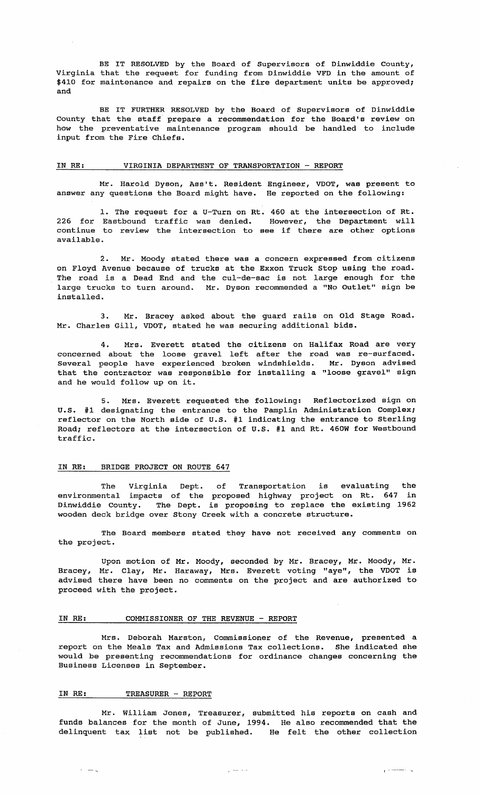BE IT RESOLVED by the Board of Supervisors of Dinwiddie County, Virginia that the request for funding from Dinwiddie VFD in the amount of \$410 for maintenance and repairs on the fire department units be approved; and

BE IT FURTHER RESOLVED by the Board of Supervisors of Dinwiddie County that the staff prepare a recommendation for the Board's review on how the preventative maintenance program should be handled to include input from the Fire Chiefs.

# IN RE: VIRGINIA DEPARTMENT OF TRANSPORTATION - REPORT

Mr. Harold Dyson, Ass't. Resident Engineer, VDOT, was present to answer any questions the Board might have. He reported on the following:

1. The request for a U-Turn on Rt. 460 at the intersection of Rt. 226 for Eastbound traffic was denied. However, the Department will continue to review the intersection to see if there are other options available.

2. Mr. Moody stated there was a concern expressed from citizens on Floyd Avenue because of trucks at the Exxon Truck stop using the road. The road is a Dead End and the cul-de-sac is not large enough for the large trucks to turn around. Mr. Dyson recommended a "No Outlet" sign be installed.

3. Mr. Bracey asked about the guard rails on Old stage Road. Mr. Charles Gill, VDOT, stated he was securing additional bids.

4. Mrs. Everett stated the citizens on Halifax Road are very concerned about the loose gravel left after the road was re-surfaced. Several people have experienced broken windshields. Mr. Dyson advised that the contractor was responsible for installing a "loose gravel" sign and he would follow up on it.

5. Mrs. Everett requested the following: Ref1ectorized sign on U. S. #1 designating the entrance to the Pamplin Administration Complex; reflector on the North side of U.s. #1 indicating the entrance to sterling Road; reflectors at the intersection of U.s. #1 and Rt. 460W for Westbound traffic.

# IN RE: BRIDGE PROJECT ON ROUTE 647

The Virginia Dept. of Transportation is evaluating the environmental impacts of the proposed highway project on Rt. 647 in Dinwiddie county. The Dept. is proposing to replace the existing 1962 wooden deck bridge over Stony Creek with a concrete structure.

The Board members stated they have not received any comments on the project.

Bracey, Mr. Clay, Mr. Haraway, Mrs. Everett voting "aye", the VDOT is advised there have been no comments on the project and are authorized to proceed with the project. Upon motion of Mr. Moody, seconded by Mr. Bracey, Mr. Moody, Mr.

#### IN RE: COMMISSIONER OF THE REVENUE - REPORT

Mrs. Deborah Marston, Commissioner of the Revenue, presented a report on the Meals Tax and Admissions Tax collections. She indicated she would be presenting recommendations for ordinance changes concerning the Business Licenses in September.

#### IN RE: TREASURER - REPORT

 $\sim$   $\sim$   $\sim$ 

Mr. William Jones, Treasurer, submitted his reports on cash and funds balances for the month of June, 1994. He also recommended that the edinquent tax list not be published. He felt the other collection

 $\mathbf{r}$  . The contract  $\mathbf{r}$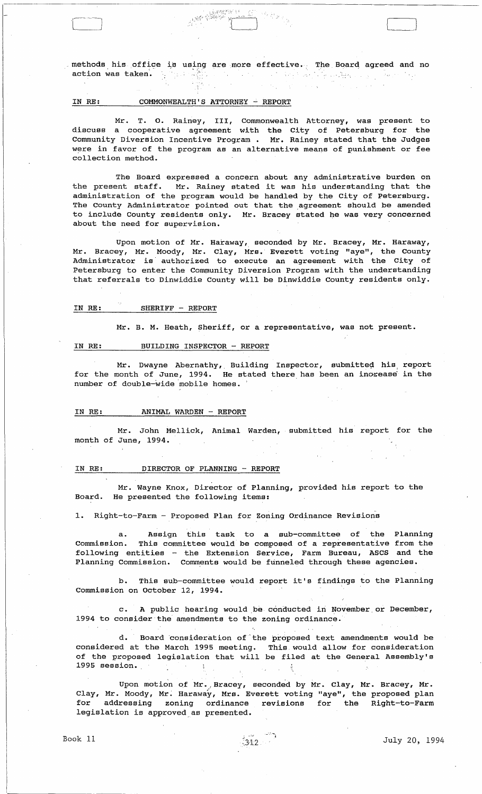methods his office action was taken. is using are more effective. The Board agreed and no

"真是"

 $\sim$ 

(

# IN RE: COMMONWEALTH'S ATTORNEY - REPORT

1994年10月

'l~'--J

Mr. T. o. Rainey, III, Commonwealth Attorney, was present to discuss a cooperative agreement with the City of Petersburg for the Community Diversion Incentive Program. Mr. Rainey stated that the Judges were in favor of the program as an alternative means of punishment or fee collection method.

The Board expressed a concern about any administrative burden on the present staff. Mr. Rainey stated it was his understanding that the administration of the program would be handled by the City of Petersburg. The County Administrator pointed out that the agreement should be amended to include County residents only. Mr. Bracey stated he was very concerned about the need for supervision.

Upon motion of Mr. Haraway, seconded by Mr. Bracey, Mr. Haraway, Mr. Bracey, Mr. Moody, Mr. Clay, Mrs. Everett voting "aye", the County Administrator is authorized to execute an agreement with the City of Petersburg to enter the Community Diversion Program with the understanding that referrals to Dinwiddie County will be Dinwiddie County residents only.

# IN RE: SHERIFF - REPORT

Mr. B. M. Heath, Sheriff, or a representative, was not present.

#### IN RE: BUILDING INSPECTOR - REPORT

Mr. Dwayne Abernathy, Building Inspector, submitted his report for the month of June, 1994. He stated there has been an inorease in the number of double-wide mobile homes.

# IN RE: ANIMAL WARDEN - REPORT

Mr. John Mellick, Animal Warden, submitted his report for the month of June, 1994.

#### IN RE: DIRECTOR OF PLANNING - REPORT

Mr. Wayne Knox, Director of Planning, provided his report to the Board. He presented the following items:

1. Right-to-Farm - Proposed Plan for Zoning Ordinance Revisions

a. Assign this task to a sub-committee of the Planning<br>Commission. This committee would be composed of a representative from the This committee would be composed of a representative from the following entities - the Extension Service, Farm Bureau, ASCS and the Planning Commission. Comments would be funneled through these agencies.

b. This sub-committee would report it's findings to the Planning commission on October 12, 1994.

c. A public hearing would be conducted in November or December, 1994 to consider the amendments to the zoning ordinance.

d. Board consideration of' the proposed text amendments would be considered at the March 1995 meeting. This would allow for consideration of the proposed legislation that will be filed at the General Assembly's 1995 session. \_

Upon motion of Mr. Bracey, seconded by Mr. Clay, Mr. Bracey, Mr. Clay, Mr. Moody, Mr. Haraway, Mrs. Everett voting "aye", the proposed plan for addressing zoning ordinance revisions for the Right-to-Farm legislation is approved as presented.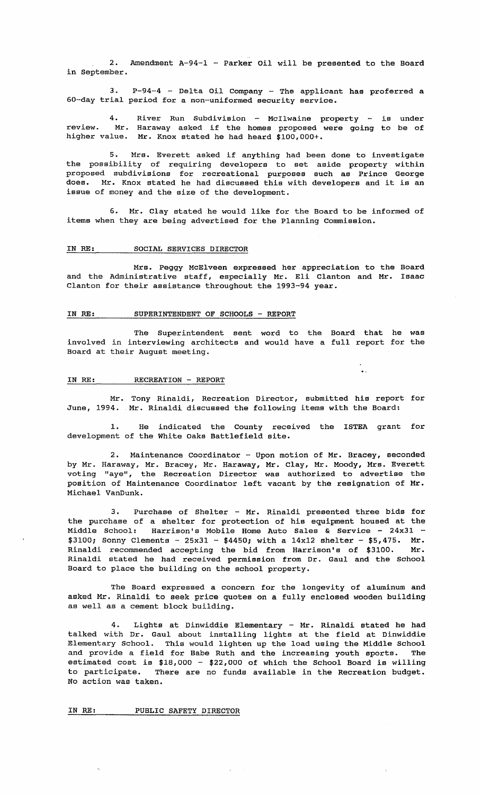2. Amendment A-94-1 - Parker oil will be presented to the Board in September.

3. P-94-4 - Delta oil Company - The applicant has proferred a 50-day trial period for a non-uniformed security service.

4. review. Mr. higher value. River Run Subdivision - McIlwaine property - is Haraway asked if the homes proposed were going to Mr. Knox stated he had heard \$100,000+. under be of

5. Mrs. Everett asked if anything had been done to investigate the possibility of requiring developers to set aside property within proposed subdivisions for recreational purposes such as Prince George does. Mr. Knox stated he had discussed this with developers and it is an issue of money and the size of the development.

6. Mr. Clay stated he would like for the Board to be informed of items when they are being advertised for the Planning commission.

# IN RE: SOCIAL SERVICES DIRECTOR

Mrs. Peggy McElveen expressed her appreciation to the Board and the Administrative staff, especially Mr. Eli Clanton and Mr. Isaac Clanton for their assistance throughout the 1993-94 year.

# IN RE: SUPERINTENDENT OF SCHOOLS - REPORT

The Superintendent sent word to the Board that he was involved in interviewing architects and would have a full report for the Board at their August meeting.

#### IN RE: RECREATION - REPORT

June, 1994. Mr. Rinaldi discussed the following items with the Board: Mr. Tony Rinaldi, Recreation Director, submitted his report for

1. He indicated the County received the ISTEA grant for development of the White oaks Battlefield site.

2. Maintenance Coordinator - Upon motion of Mr. Bracey, seconded by Mr. Haraway, Mr. Bracey, Mr. Haraway, Mr. Clay, Mr. Moody, Mrs. Everett voting "aye", the Recreation Director was authorized to advertise the position of Maintenance Coordinator left vacant by the resignation of Mr. Michael VanDunk.

3. Purchase of Shelter - Mr. Rinaldi presented three bids for the purchase of a shelter for protection of his equipment housed at the Middle School: Harrison's Mobile Home Auto Sales & Service - 24x31 - $$3100;$  Sonny Clements - 25x31 - \$4450; with a 14x12 shelter - \$5,475. Mr. Rinaldi recommended accepting the bid from Harrison's of \$3100. Mr. Rinaldi stated he had received permission from Dr. Gaul and the School Board to place the building on the school property.

The Board expressed a concern for the longevity of aluminum and asked Mr. Rinaldi to seek price quotes on a fully enclosed wooden building as well as a cement block building.

4. Lights at Dinwiddie Elementary - Mr. Rinaldi stated he had talked with Dr. Gaul about installing lights at the field at Dinwiddie Elementary School. This would lighten up the load using the Middle School and provide a field for Babe Ruth and the increasing youth sports. The estimated cost is \$18,000 - \$22,000 of which the School Board is willing to participate. There are no funds available in the Recreation budget. No action was taken.

IN RE: PUBLIC SAFETY DIRECTOR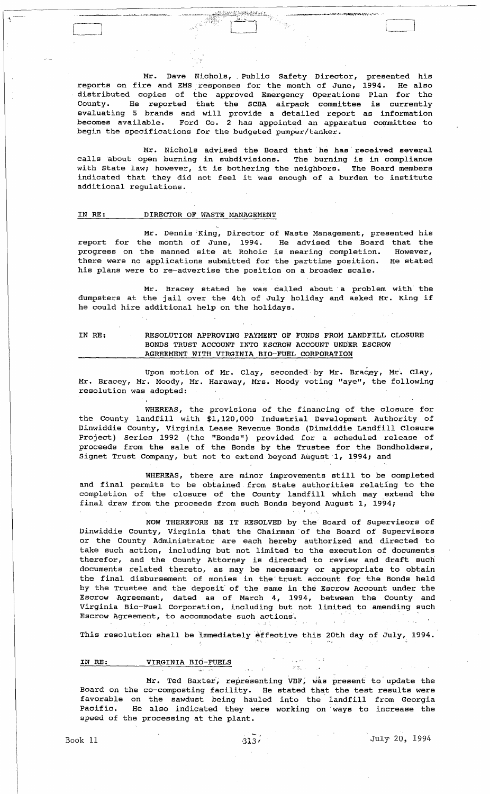Mr. Dave Nichols, Public Safety Director, presented his reports on fire and EMS responses for the month of June, 1994. He also distributed copies of the approved Emergency Operations Plan for the County. He reported that the SCBA airpack committee is currently evaluating 5 brands and will provide a detailed report as information becomes available. Ford Co. 2 has appointed an apparatus committee to begin the specifications for the budgeted pumper/tanker.

 $\Box$ 

Mr. Nichols advised the Board that he has received several calls 'about open burning in subdivisions. The burning is in compliance with state law; however, it is bothering the neighbors. The Board members indicated that they did not feel it was enough of a burden to institute additional regulations.

# IN RE: DIRECTOR OF WASTE MANAGEMENT

Mr. Dennis 'King, Director of Waste Management, presented his report for the month of June, 1994. He advised the Board that the progress on the manned site at Rohoic is nearing completion. However, there were no applications submitted for the parttime position. He stated his plans were to re-advertise the position on a broader scale.

Mr. Bracey stated he was called about' a problem with the dumpsters at the jail over the 4th of July holiday and asked Mr. King if he could hire additional help on the holidays.

# IN RE: RESOLUTION APPROVING PAYMENT OF FUNDS FROM LANDFILL CLOSURE BONDS TRUST ACCOUNT INTO ESCROW ACCOUNT UNDER ESCROW AGREEMENT WITH VIRGINIA BIO-FUEL CORPORATION

Upon motion of Mr. Clay, seconded by Mr. Bracey, Mr. Clay, Mr. Bracey, Mr. Moody, Mr. Haraway, Mrs. Moody voting "aye", the following resolution was adopted:

WHEREAS, the provisions of the financing of the closure for the County landfill with \$1,120,000 Industrial Development Authority of Dinwiddie County, Virginia Lease Revenue Bonds (Dinwiddie Landfill Closure Project) Series 1992 (the "Bonds") provided for a scheduled release of proceeds from the sale of the Bonds by the Trustee for the Bondholders, Signet Trust CompanY, but not to extend beyond August 1, 1994; and

WHEREAS, there are minor improvements still to be completed and final permits to be obtained, from State authorities relating to the completion of the closure of the County landfill which may extend the final draw from the proceeds from such Bonds beyond August 1, 1994;

NOW THEREFORE BE IT RESOLVED by the Board of Supervisors of Dinwiddie County, Virginia that the Chairman' of the Board of supervisors or the County Administrator are each hereby authorized and directed to take such action, including but not limited to the execution of documents therefor, and the County Attorney is directed to review and draft such documents related thereto, as may be necessary or appropriate to obtain the final disbursement of monies in the' trust account for the Bonds held by the Trustee and the deposit of the same in the Escrow Account under the Escrow Agreement, dated as of March 4, 1994, between the County and Virginia Bio-Fuel Corporation, including but not limited to amending such Escrow Agreement, to accommodate such actions'. '

This resolution shall be immediately effective this 20th day of July, 1994.

 $\mathcal{C}_{\mathcal{A}}$  .  $\mathcal{C}_{\mathcal{A}}$ 

# IN RE: VIRGINIA BIO-FUELS

Mr. Ted Baxter, representing VBF, was present to update the Board on the co-composting facility. He stated that the test results were favorable on the sawdust being hauled into the landfill from Georgia Pacific. He also indicated they were working on "ways to increase the speed of the processing at the plant.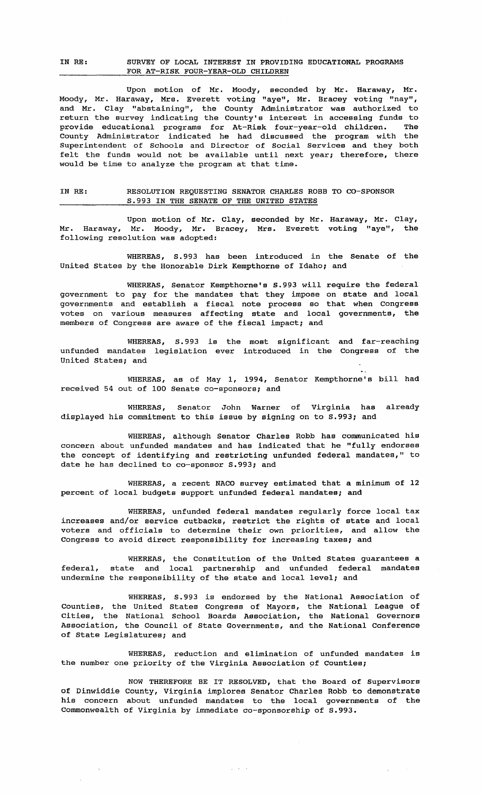# IN RE: SURVEY OF LOCAL INTEREST IN PROVIDING EDUCATIONAL PROGRAMS FOR AT-RISK FOUR-YEAR-OLD CHILDREN

Upon motion of Mr. Moody, seconded by Mr. Haraway, Mr. Moody, Mr. Haraway, Mrs. Everett voting "aye", Mr. Bracey voting "nay", and Mr. Clay "abstaining", the County Administrator was authorized to return the survey indicating the County's interest in accessing funds to provide educational programs for At-Risk four-year-old children. The County Administrator indicated he had discussed the program with the Superintendent of Schools and Director of Social Services and they both felt the funds would not be available until next year; therefore, there would be time to analyze the program at that time.

# IN RE: RESOLUTION REQUESTING SENATOR CHARLES ROBB TO CO-SPONSOR S.993 IN THE SENATE OF THE UNITED STATES

Upon motion of Mr. Clay, seconded by Mr. Haraway, Mr. Clay, Mr. Haraway, Mr. Moody, Mr. Bracey, Mrs. Everett voting "aye", the following resolution was adopted:

WHEREAS, S. 993 has been introduced in the Senate of the United states by the Honorable Dirk Kempthorne of Idaho; and

WHEREAS, Senator Kempthorne's S.993 will require the federal government to pay for the mandates that they impose on state and local governments and establish a fiscal note process so that when Congress votes on various measures affecting state and local governments, the members of Congress are aware of the fiscal impact; and

WHEREAS, S.993 is the most significant and far-reaching unfunded mandates legislation ever introduced in the Congress of the United States; and

WHEREAS, as of May 1, 1994, Senator Kempthorne's bill had received 54 out of 100 Senate co-sponsors; and

WHEREAS, Senator John Warner of Virginia has already displayed his commitment to this issue by signing on to S.993; and

WHEREAS, although Senator Charles Robb has communicated his concern about unfunded mandates and has indicated that he "fully endorses the concept of identifying and restricting unfunded federal mandates," to date he has declined to co-sponsor S.993; and

WHEREAS, a recent NACO survey estimated that a minimum of 12 percent of local budgets support unfunded federal mandates; and

WHEREAS, unfunded federal mandates regularly force local tax increases and/or service cutbacks, restrict the rights of state and local voters and officials to determine their own priorities, and allow the Congress to avoid direct responsibility for increasing taxes; and

WHEREAS, the Constitution of the United States guarantees a federal, state and local partnership and unfunded federal mandates undermine the responsibility of the state and local level; and

WHEREAS, S. 993 is endorsed by the National Association of Counties, the United States Congress of Mayors, the National League of Cities, the National School Boards Association, the National Governors Association, the Council of state Governments, and the National Conference of state Legislatures; and

WHEREAS, reduction and elimination of unfunded mandates is the number one priority of the Virginia Association of Counties;

of Dinwiddie County, Virginia implores senator Charles Robb to demonstrate his concern about unfunded mandates to the local governments of the Commonwealth of Virginia by immediate co-sponsorship of S.993. NOW THEREFORE BE IT RESOLVED, that the Board of Supervisors

 $\varphi$  and  $\varphi$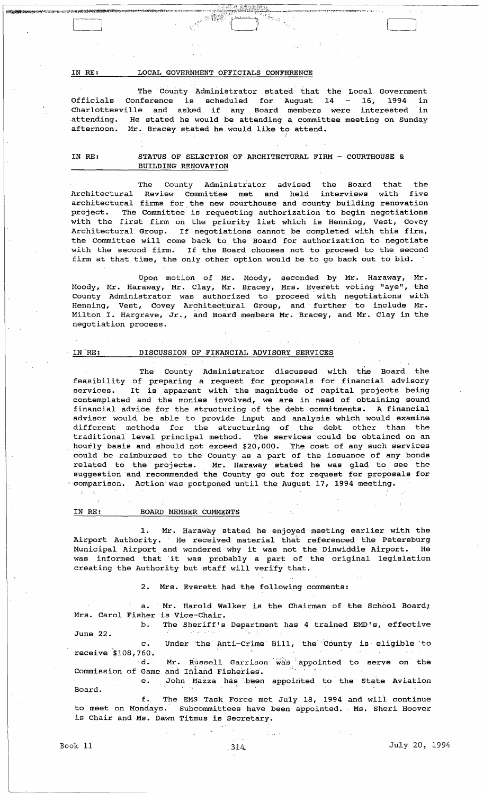IN RE: LOCAL GOVERNMENT OFFICIALS CONFERENCE

The County Administrator stated that the Local Government Officials Conference is scheduled for August  $14 - 16$ , 1994 in Charlottesville and asked if any Board members were interested in attending. He stated he would be attending a committee meeting on Sunday afternoon. Mr. Bracey stated he would like to attend.

IN RE: STATUS OF SELECTION OF ARCHITECTURAL FIRM - COURTHOUSE & BUILDING RENOVATION

The County Administrator advised the Board that the Architectural Review Committee met and held interviews with five architectural firms for the new courthouse and county building renovation project. The Committee is requesting authorization to begin negotiations with the first firm on the priority list which is Henning, Vest, Covey Architectural Group. If negotiations cannot be completed with this firm, the Committee will come back to the Board for authorization to negotiate with the second firm. If the Board chooses not to proceed to the second firm at that time, the only other option would be to go back out to bid.

Upon motion of Mr. Moody, seconded by Mr. Haraway, Mr. Moody, Mr. Haraway, Mr. Clay, Mr. Bracey, Mrs. Everett voting "aye", the County Administrator was authorized to proceed with negotiations with Henning, Vest, Covey Architectural Group, and' further to include Mr. Milton I. Hargrave, Jr., and Board members Mr. Bracey, and Mr. Clay in the negotiation process.

#### IN'RE: DISCUSSION OF FINANCIAL ADVISORY SERVICES

The County Administrator discussed with the Board the feasibility of preparing a request for proposals for financial advisory services. It is apparent with the magnitude of capital projects being contemplated and the monies involved, we are in need of obtaining sound financial advice for the structuring of the debt commitments. A financial advisor would be able to provide input and analysis which would examine different methods for the structuring of the debt other than the traditional level principal method. The services could be obtained on an hourly basis and should not exceed \$20,000. The cost of any such services could be reimbursed to the County' as a part of the issuance of any bonds related to the projects. Mr. Haraway stated he was glad to see the suggestion and recommended the County go out for request for proposals for  $\cdot$  comparison. Action was postponed until the August 17, 1994 meeting.

# IN RE: BOARD MEMBER COMMENTS

1. Mr. Haraway stated he enjoyed'meeting earlier with the Airport Authority. He received material that referenced the Petersburg Municipal Airport and wondered why it was not the Dinwiddie Airport. He was informed that 'it was probably a part of the original legislation creating the Authority but staff will verify that.

2. Mrs. Everett had the following comments:

a. Mr. Harold Walker is the Chairman of the School Board; Mrs. Carol Fisher is Vice-Chair.

b. The Sheriff's Department has 4 trained EMD's, effective June 22.

c. Under 'the ' Anti-crime Bill, the' County is eligible' to receive  $$108,760.$ 

d. Mr. Russell Garrison was appointed to serve on the Commission of Game and Inland Fisheries.

e. John Mazza has been appointed to the State Aviation Board.

f. The EMS Task Force met Ju'ly 18, 1994 and will continue to meet on Mondays. Subcommittees have been appointed. Ms. Sheri Hoover is Chair and Ms. Dawn Titmus is Secretary.

David

LJ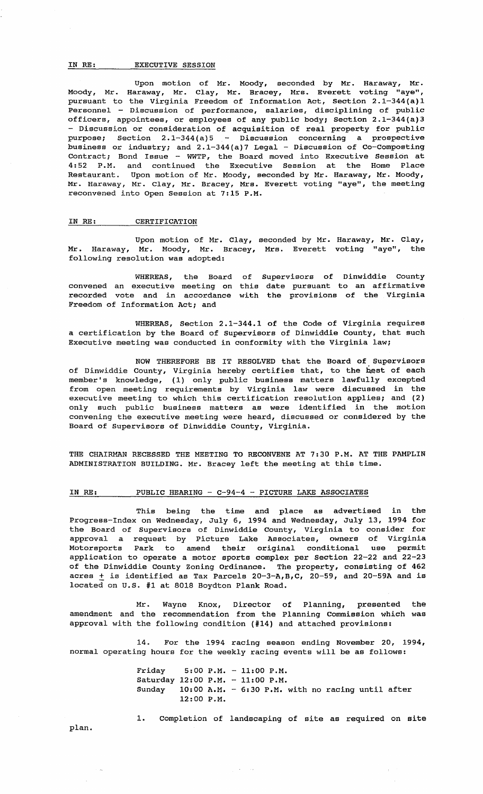# IN RE: EXECUTIVE SESSION

Upon motion of Mr. Moody, seconded by Mr. Haraway, Mr. Moody, Mr. Haraway, Mr. Clay, Mr. Bracey, Mrs. Everett voting "aye", pursuant to the Virginia Freedom of Information Act, section 2.1-344(a)1 Personnel - Discussion of performance, salaries, disciplining of public officers, appointees, or employees of any public body; Section 2.1-344(a)3 - Discussion or consideration of acquisition of real property for public purpose; Section  $2.1-344(a)5$  - Discussion concerning a prospective business or industry; and 2.1-344(a)7 Legal - Discussion of co-composting Contract; Bond Issue - WWTP, the Board moved into Executive Session at 4:52 P.M. and continued the Executive Session at the Home Place Restaurant. Upon motion of Mr. Moody, seconded by Mr. Haraway, Mr. Moody, Mr. Haraway, Mr. Clay, Mr. Bracey, Mrs. Everett voting "aye", the meeting reconvened into Open Session at 7:15 P.M.

#### IN RE: CERTIFICATION

Upon motion of Mr. Clay, Mr. Haraway, Mr. Moody, Mr. Bracey, following resolution was adopted: seconded by Mr. Haraway, Mr. Clay, Mrs. Everett voting "aye", the

WHEREAS, the Board of supervisors of Dinwiddie County convened an executive meeting on this date pursuant to an affirmative recorded vote and in accordance with the provisions of the Virginia Freedom of Information Act; and

WHEREAS, Section 2.1-344.1 of the Code of Virginia requires a certification by the Board of Supervisors of Dinwiddie county, that such Executive meeting was conducted in conformity with the Virginia law;

NOW THEREFORE BE IT RESOLVED that the Board of Supervisors of Dinwiddie County, Virginia hereby certifies that, to the best of each member's knowledge, (1) only public business matters lawfully excepted from open meeting requirements by Virginia law were discussed in the executive meeting to which this certification resolution applies; and (2) only such public business matters as were identified in the motion convening the executive meeting were heard, discussed or considered by the Board of Supervisors of Dinwiddie County, Virginia.

THE CHAIRMAN RECESSED THE MEETING TO RECONVENE AT 7:30 P.M. AT THE PAMPLIN ADMINISTRATION BUILDING. Mr. Bracey left the meeting at this time.

# IN RE: PUBLIC HEARING - C-94-4 - PICTURE LAKE ASSOCIATES

This being the time and place as advertised in the Progress-Index on Wednesday, July 6, 1994 and Wednesday, July 13, 1994 for the Board of Supervisors of Dinwiddie County, Virginia to consider for approval a request by Picture Lake Associates, owners of Virginia Motorsports Park to amend their original conditional use permit application to operate a motor sports complex per section 22-22 and 22-23 of the Dinwiddie County Zoning Ordinance. The property, consisting of 462 acres  $\pm$  is identified as Tax Parcels 20-3-A, B, C, 20-59, and 20-59A and is located on U.s. #1 at 8018 Boydton Plank Road.

Mr. amendment and the recommendation from the Planning commission which was approval with the following condition (#14) and attached provisions: Wayne Knox, Director of Planning, presented the

14. For the 1994 racing season ending November 20, 1994, normal operating hours for the weekly racing events will be as follows:

 $\Delta \sim 100$ 

Friday 5:00 P.M. 11:00 P.M. Saturday 12:00 P.M. 11:00 P.M. Sunday 10:00 A.M. 6:30 P.M. with no racing until after 12:00 P.M.

plan.

1. Completion of landscaping of site as required on site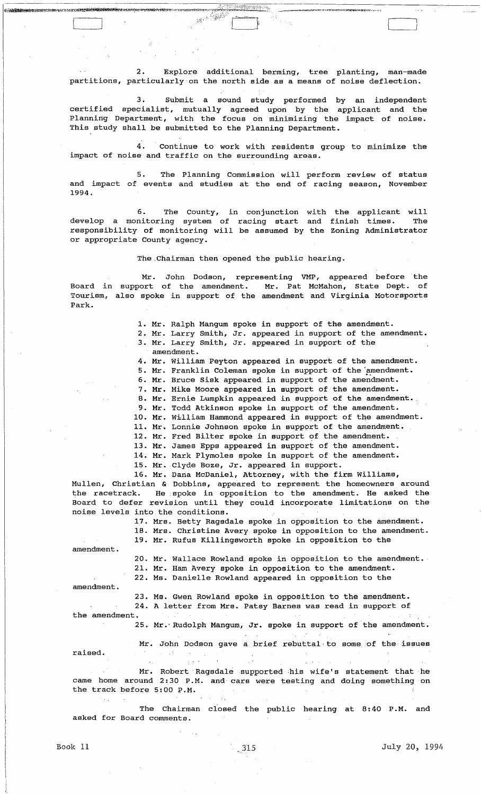2. Explore additional berming, tree planting, man-made partitions, particularly on the north side as a means of noise deflection.

[---' r' ... .,~;\\ . \_\_\_ 1 J

3. Submit a sound study performed by an independent certified specialist, mutually agreed upon by the applicant and the Planning Department, with the focus on minimizing the impact of noise. This study shall be submitted to the Planning Department.

4. continue to work with residents group to minimize the impact of noise and traffic on the surrounding areas.

and impact of events and studies at the end of racing season, November 1994. 5. The Planning Commission will perform review of status

6. The County, in conjunction develop a monitoring system of racing start responsibility of monitoring will be assumed by the Zoning Administrator or appropriate County agency. with and the applicant will finish times. The

The.Chairman then opened the public hearing.

Mr. John Dodson, representing VMP, appeared before the Board in support of the amendment. Mr. Pat McMahon, State Dept. of Tourism, also spoke in support of the amendment and Virginia Motorsports Park.

1. Mr. Ralph Mangum spoke in support of the amendment.

2. Mr. Larry Smith, Jr. appeared in support of the amendment. 3. Mr. Larry Smith, Jr. appeared in support of the

amendment.

4. Mr. William Peyton appeared in support of the amendment.

5. Mr. Franklin Coleman spoke in support of the 'amendment.

6. Mr. Bruce sisk appeared in support of the amendment.

7. Mr. Mike Moore appeared in support of the amendment.

8. Mr. Ernie Lumpkin appeared in support of the amendment.

9. Mr. Todd Atkinson spoke in support of the amendment.

10. Mr. William Hammond appeared in support of the amendment.

11. Mr. Lonnie Johnson spoke in support of the amendment.

12. Mr. Fred Bilter spoke in support of the amendment.

13. Mr. James Epps appeared in support of the amendment.

14. Mr. Mark Plymoles spoke in support of the amendment.

15. Mr. Clyde Boze, Jr. appeared in support.

16. Mr. Dana McDaniel, Attorney, with the firm Williams, Mullen, Christian & Dobbins, appeared to represent the homeowners around the racetrack. He spoke in opposition to the amendment. He asked the Board to defer revision until they could incorporate limitations on the noise levels into the conditions.

17. Mrs. Betty Ragsdale spoke in opposition to the amendment.

18. Mrs. Christine Avery spoke in opposition to the amendment. 19. Mr. Rufus Killingsworth spoke in opposition to the

amendment.

20. Mr. Wallace Rowland spoke in opposition to the amendment.

21. Mr. Ham Avery spoke in opposition to the amendment.

22. Ms. Danielle Rowland appeared in opposition to the

amendment.

23. Ms. Gwen Rowland spoke in opposition to the amendment. 24. A letter from Mrs. Patsy Barnes was read in support of

the amendment,

25. Mr.' Rudolph Mangum, Jr. spoke in support of the amendment.

Mr. John Dodson gave a brief rebuttal, to some 'of the issues raised.  $\sim 10^{12}$ 

Mr. Robert Ragsdale supported his wife's statement that he came home around 2:30 P.M. and· cars were testing and doing something on the track before 5:00 P.M.

The Chairman closed the public hearing at 8:40 P.M. and asked for Board comments.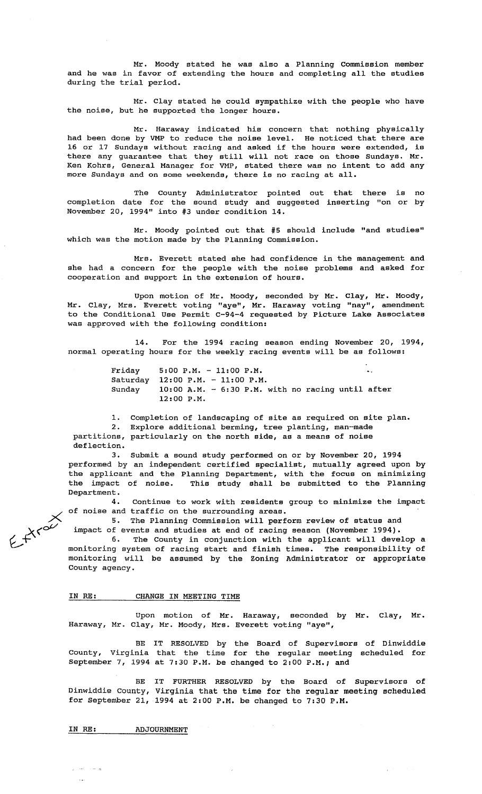Mr. Moody stated he was also a Planning Commission member and he was in favor of extending the hours and completing all the studies during the trial period.

Mr. Clay stated he could sympathize with the people who have the noise, but he supported the longer hours.

Mr. Haraway indicated his concern that nothing physically had been done by VMP to reduce the noise level. He noticed that there are 16 or 17 Sundays without racing and asked if the hours were extended, is there any guarantee that they still will not race on those Sundays. Mr. Ken Kohrs, General Manager for VMP, stated there was no intent to add any more Sundays and on some weekends, there is no racing at all.

The County Administrator pointed out that there is no completion date for the sound study and suggested inserting "on or by November 20, 1994" into #3 under condition 14.

Mr. Moody pointed out that #5 should include "and studies" which was the motion made by the Planning Commission.

Mrs. Everett stated she had confidence in the management and she had a concern for the people with the noise problems and asked for cooperation and support in the extension of hours.

Upon motion of Mr. Moody, seconded by Mr. Clay, Mr. Moody, Mr. Clay, Mrs. Everett voting "aye", Mr. Haraway voting "nay", amendment to the Conditional Use Permit C-94-4 requested by Picture Lake Associates was approved with the following condition:

14. For the 1994 racing season ending November 20, 1994, normal operating hours for the weekly racing events will be as follows:

> Friday Saturday 12:00 P.M. - 11:00 P.M. Sunday 5:00 P.M. - 11:00 P.M.  $10:00$  A.M. -  $6:30$  P.M. with no racing until after 12:00 P.M.

1. Completion of landscaping of site as required on site plan. 2. Explore additional berming, tree planting, man-made partitions, particularly on the north side, as a means of noise deflection.

3. Submit a sound study performed on or by November 20, 1994 performed by an independent certified specialist, mutually agreed upon by the applicant and the Planning Department, with the focus on minimizing the impact of noise. This study shall be submitted to the Planning Department.

4. Continue to work with residents group to minimize the impact of noise and traffic on the surrounding areas.

5. The Planning Commission will perform review of status and impact of events and studies at end of racing season (November 1994).

 $27.500$ 6. The County in conjunction with the applicant will develop a monitoring system of racing start and finish times. The responsibility of monitoring will be assumed by the Zoning Administrator or appropriate County agency.

# IN RE: CHANGE IN MEETING TIME

Upon motion of Mr. Haraway, seconded by Mr. Clay, Mr. Haraway, Mr. Clay, Mr. Moody, Mrs. Everett voting "aye",

BE IT RESOLVED by the Board of Supervisors of Dinwiddie County, Virginia that the time for the regular meeting scheduled for September 7, 1994 at 7:30 P.M. be changed to 2:00 P.M.; and

BE IT FURTHER RESOLVED by the Board of Supervisors of Dinwiddie County, Virginia that the time for the regular meeting scheduled for September 21, 1994 at 2:00 P.M. be changed to 7:30 P.M.

IN RE: ADJOURNMENT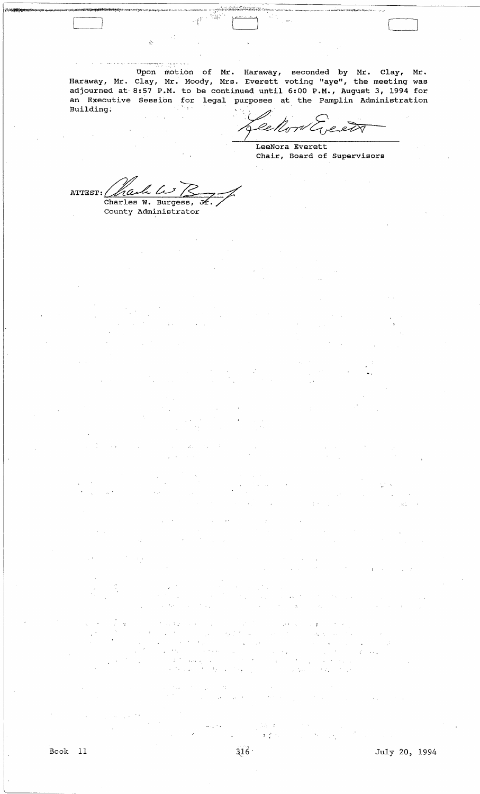Haraway, Mr. adjourned at an Executive Building. Upon motion of Mr. Haraway, seconded by Mr. Clay, Mr. Clay, Mr. Moody, Mrs. Everett voting "aye", the meeting was 8:57 P.M. to be continued until 6:00 P.M., August 3, 1994 for Session for legal purposes at the Pamplin Administration

 $\mathbb{R}^n$ 

 $\frac{1}{2}$ 

etR

LeeNora Everett Chair, Board of Supervisors

 $\begin{bmatrix} 1 & 1 \\ 1 & 1 \end{bmatrix}$ 

ATTEST:  $\Delta a\Delta b\Delta s$ County Administrator

 $\tilde{\mathcal{R}}^{\prime}$ 

[-]

 $1 - \frac{1}{2} - 1$ .

',.